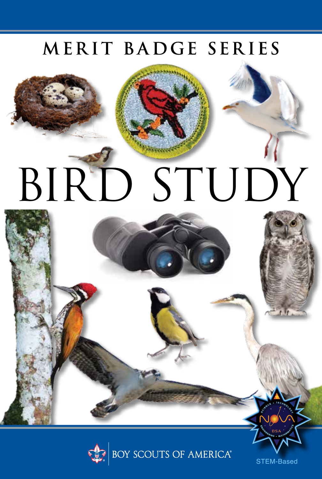# MERIT BADGE SERIES





STEM-Based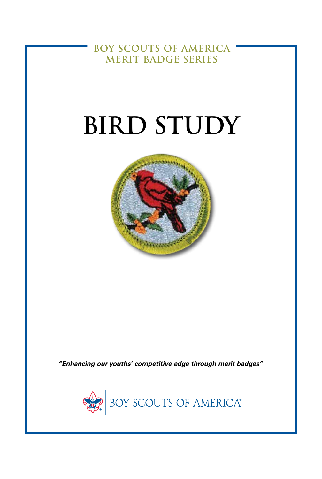**BOY SCOUTS OF AMERICA MERIT BADGE SERIES** 

# **BIRD STUDY**



"Enhancing our youths' competitive edge through merit badges"

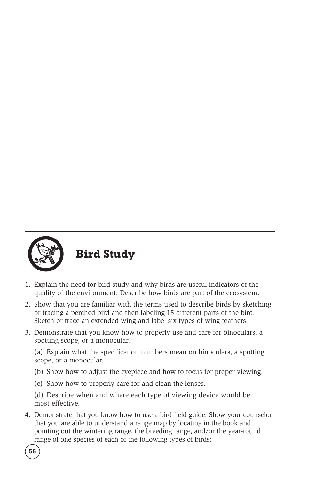

**Bird Study**

- 1. Explain the need for bird study and why birds are useful indicators of the quality of the environment. Describe how birds are part of the ecosystem.
- 2. Show that you are familiar with the terms used to describe birds by sketching or tracing a perched bird and then labeling 15 different parts of the bird. Sketch or trace an extended wing and label six types of wing feathers.
- 3. Demonstrate that you know how to properly use and care for binoculars, a spotting scope, or a monocular.

(a) Explain what the specification numbers mean on binoculars, a spotting scope, or a monocular.

- (b) Show how to adjust the eyepiece and how to focus for proper viewing.
- (c) Show how to properly care for and clean the lenses.

(d) Describe when and where each type of viewing device would be most effective.

4. Demonstrate that you know how to use a bird field guide. Show your counselor that you are able to understand a range map by locating in the book and pointing out the wintering range, the breeding range, and/or the year-round range of one species of each of the following types of birds: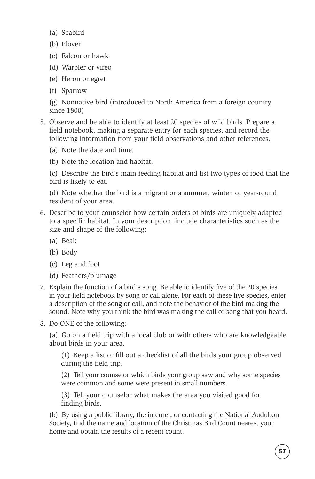- (a) Seabird
- (b) Plover
- (c) Falcon or hawk
- (d) Warbler or vireo
- (e) Heron or egret
- (f) Sparrow

(g) Nonnative bird (introduced to North America from a foreign country since 1800)

- 5. Observe and be able to identify at least 20 species of wild birds. Prepare a field notebook, making a separate entry for each species, and record the following information from your field observations and other references.
	- (a) Note the date and time.
	- (b) Note the location and habitat.

(c) Describe the bird's main feeding habitat and list two types of food that the bird is likely to eat.

(d) Note whether the bird is a migrant or a summer, winter, or year-round resident of your area.

- 6. Describe to your counselor how certain orders of birds are uniquely adapted to a specific habitat. In your description, include characteristics such as the size and shape of the following:
	- (a) Beak
	- (b) Body
	- (c) Leg and foot
	- (d) Feathers/plumage
- 7. Explain the function of a bird's song. Be able to identify five of the 20 species in your field notebook by song or call alone. For each of these five species, enter a description of the song or call, and note the behavior of the bird making the sound. Note why you think the bird was making the call or song that you heard.
- 8. Do ONE of the following:

(a) Go on a field trip with a local club or with others who are knowledgeable about birds in your area.

(1) Keep a list or fill out a checklist of all the birds your group observed during the field trip.

(2) Tell your counselor which birds your group saw and why some species were common and some were present in small numbers.

(3) Tell your counselor what makes the area you visited good for finding birds.

(b) By using a public library, the internet, or contacting the National Audubon Society, find the name and location of the Christmas Bird Count nearest your home and obtain the results of a recent count.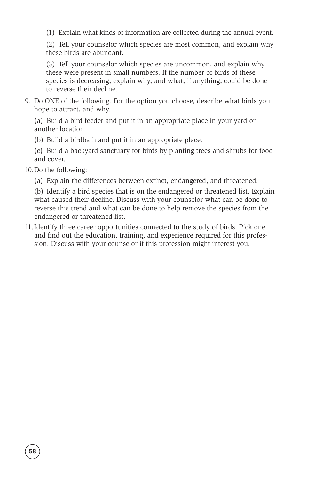(1) Explain what kinds of information are collected during the annual event.

(2) Tell your counselor which species are most common, and explain why these birds are abundant.

(3) Tell your counselor which species are uncommon, and explain why these were present in small numbers. If the number of birds of these species is decreasing, explain why, and what, if anything, could be done to reverse their decline.

9. Do ONE of the following. For the option you choose, describe what birds you hope to attract, and why.

(a) Build a bird feeder and put it in an appropriate place in your yard or another location.

- (b) Build a birdbath and put it in an appropriate place.
- (c) Build a backyard sanctuary for birds by planting trees and shrubs for food and cover.
- 10.Do the following:
	- (a) Explain the differences between extinct, endangered, and threatened.

(b) Identify a bird species that is on the endangered or threatened list. Explain what caused their decline. Discuss with your counselor what can be done to reverse this trend and what can be done to help remove the species from the endangered or threatened list.

11.Identify three career opportunities connected to the study of birds. Pick one and find out the education, training, and experience required for this profession. Discuss with your counselor if this profession might interest you.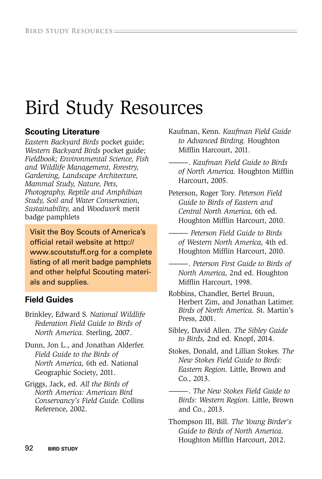# Bird Study Resources

#### **Scouting Literature**

*Eastern Backyard Birds* pocket guide; *Western Backyard Birds* pocket guide; *Fieldbook; Environmental Science, Fish and Wildlife Management, Forestry, Gardening, Landscape Architecture, Mammal Study, Nature, Pets, Photography, Reptile and Amphibian Study, Soil and Water Conservation, Sustainability,* and *Woodwork* merit badge pamphlets

Visit the Boy Scouts of America's official retail website at http:// www.scoutstuff.org for a complete listing of all merit badge pamphlets and other helpful Scouting materials and supplies.

#### **Field Guides**

- Brinkley, Edward S. *National Wildlife Federation Field Guide to Birds of North America.* Sterling, 2007.
- Dunn, Jon L., and Jonathan Alderfer. *Field Guide to the Birds of North America,* 6th ed. National Geographic Society, 2011.
- Griggs, Jack, ed. *All the Birds of North America: American Bird Conservancy's Field Guide.* Collins Reference, 2002.

Kaufman, Kenn. *Kaufman Field Guide to Advanced Birding.* Houghton Miffin Harcourt, 2011.

- ——— . *Kaufman Field Guide to Birds of North America.* Houghton Miffin Harcourt, 2005.
- Peterson, Roger Tory. *Peterson Field Guide to Birds of Eastern and Central North America,* 6th ed. Houghton Miffin Harcourt, 2010.
- ——— *Peterson Field Guide to Birds of Western North America,* 4th ed. Houghton Miffin Harcourt, 2010.
- ——— . *Peterson First Guide to Birds of North America,* 2nd ed. Houghton Miffin Harcourt, 1998.
- Robbins, Chandler, Bertel Bruun, Herbert Zim, and Jonathan Latimer. *Birds of North America.* St. Martin's Press, 2001.
- Sibley, David Allen. *The Sibley Guide to Birds,* 2nd ed. Knopf, 2014.
- Stokes, Donald, and Lillian Stokes. *The New Stokes Field Guide to Birds: Eastern Region.* Little, Brown and Co., 2013.
- ——— . *The New Stokes Field Guide to Birds: Western Region.* Little, Brown and Co., 2013.

Thompson III, Bill. *The Young Birder's Guide to Birds of North America.* Houghton Miffin Harcourt, 2012.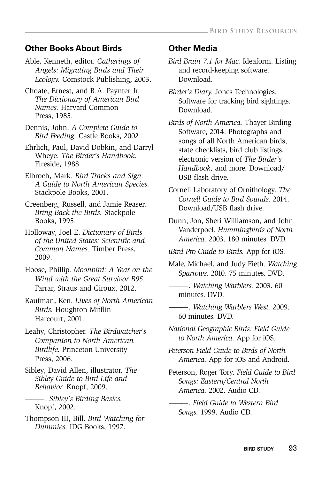#### **Other Books About Birds**

- Able, Kenneth, editor. *Gatherings of Angels: Migrating Birds and Their Ecology.* Comstock Publishing, 2003.
- Choate, Ernest, and R.A. Paynter Jr. *The Dictionary of American Bird Names.* Harvard Common Press, 1985.
- Dennis, John. *A Complete Guide to Bird Feeding.* Castle Books, 2002.
- Ehrlich, Paul, David Dobkin, and Darryl Wheye. *The Birder's Handbook.* Fireside, 1988.
- Elbroch, Mark. *Bird Tracks and Sign: A Guide to North American Species.*  Stackpole Books, 2001.
- Greenberg, Russell, and Jamie Reaser. *Bring Back the Birds.* Stackpole Books, 1995.
- Holloway, Joel E. *Dictionary of Birds of the United States: Scientifc and Common Names.* Timber Press, 2009.
- Hoose, Phillip. *Moonbird: A Year on the Wind with the Great Survivor B95.* Farrar, Straus and Giroux, 2012.
- Kaufman, Ken. *Lives of North American Birds.* Houghton Miffin Harcourt, 2001.
- Leahy, Christopher. *The Birdwatcher's Companion to North American Birdlife.* Princeton University Press, 2006.
- Sibley, David Allen, illustrator. *The Sibley Guide to Bird Life and Behavior.* Knopf, 2009.
	- ——— . *Sibley's Birding Basics.*  Knopf, 2002.
- Thompson III, Bill. *Bird Watching for Dummies.* IDG Books, 1997.

#### **Other Media**

- *Bird Brain 7.1 for Mac.* Ideaform. Listing and record-keeping software. Download.
- *Birder's Diary.* Jones Technologies. Software for tracking bird sightings. Download.
- *Birds of North America.* Thayer Birding Software, 2014. Photographs and songs of all North American birds, state checklists, bird club listings, electronic version of *The Birder's Handbook,* and more. Download/ USB flash drive.
- Cornell Laboratory of Ornithology. *The Cornell Guide to Bird Sounds.* 2014. Download/USB flash drive.
- Dunn, Jon, Sheri Williamson, and John Vanderpoel. *Hummingbirds of North America.* 2003. 180 minutes. DVD.
- *iBird Pro Guide to Birds.* App for iOS.
- Male, Michael, and Judy Fieth. *Watching Sparrows.* 2010. 75 minutes. DVD.
- ——— . *Watching Warblers.* 2003. 60 minutes. DVD.
- ——— . *Watching Warblers West.* 2009. 60 minutes. DVD.
- *National Geographic Birds: Field Guide to North America.* App for iOS.
- *Peterson Field Guide to Birds of North America.* App for iOS and Android.
- Peterson, Roger Tory. *Field Guide to Bird Songs: Eastern/Central North America.* 2002. Audio CD.
- ——— . *Field Guide to Western Bird Songs.* 1999. Audio CD.